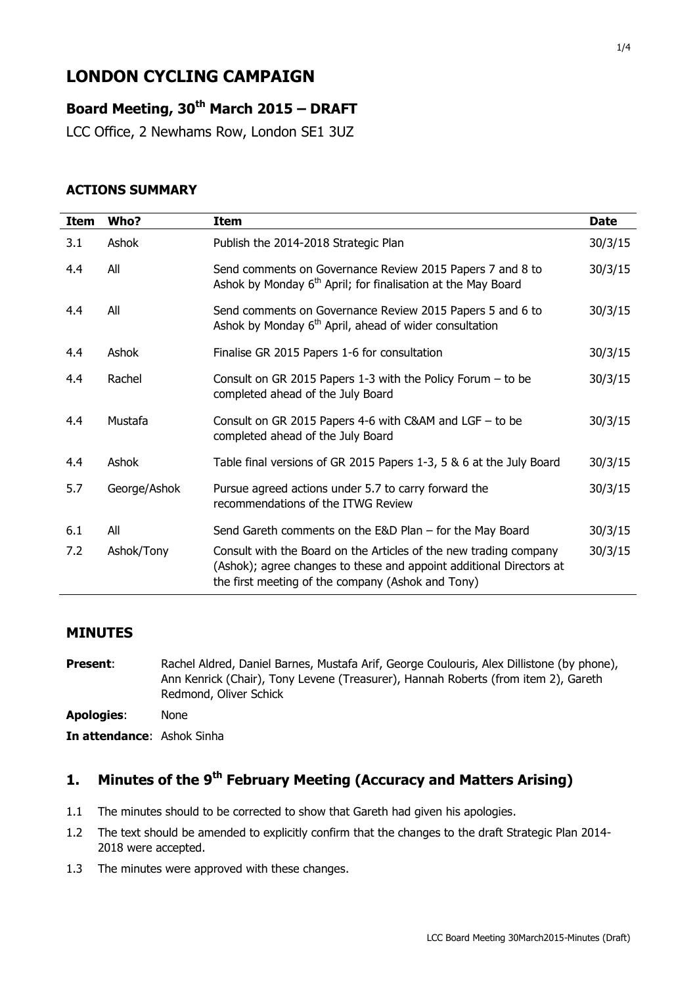# **LONDON CYCLING CAMPAIGN**

# **Board Meeting, 30th March 2015 – DRAFT**

LCC Office, 2 Newhams Row, London SE1 3UZ

#### **ACTIONS SUMMARY**

| <b>Item</b> | Who?         | <b>Item</b>                                                                                                                                                                                   | <b>Date</b> |
|-------------|--------------|-----------------------------------------------------------------------------------------------------------------------------------------------------------------------------------------------|-------------|
| 3.1         | Ashok        | Publish the 2014-2018 Strategic Plan                                                                                                                                                          | 30/3/15     |
| 4.4         | All          | Send comments on Governance Review 2015 Papers 7 and 8 to<br>Ashok by Monday 6 <sup>th</sup> April; for finalisation at the May Board                                                         | 30/3/15     |
| 4.4         | All          | Send comments on Governance Review 2015 Papers 5 and 6 to<br>Ashok by Monday 6 <sup>th</sup> April, ahead of wider consultation                                                               | 30/3/15     |
| 4.4         | Ashok        | Finalise GR 2015 Papers 1-6 for consultation                                                                                                                                                  | 30/3/15     |
| 4.4         | Rachel       | Consult on GR 2015 Papers 1-3 with the Policy Forum $-$ to be<br>completed ahead of the July Board                                                                                            | 30/3/15     |
| 4.4         | Mustafa      | Consult on GR 2015 Papers 4-6 with C&AM and LGF - to be<br>completed ahead of the July Board                                                                                                  | 30/3/15     |
| 4.4         | Ashok        | Table final versions of GR 2015 Papers 1-3, 5 & 6 at the July Board                                                                                                                           | 30/3/15     |
| 5.7         | George/Ashok | Pursue agreed actions under 5.7 to carry forward the<br>recommendations of the ITWG Review                                                                                                    | 30/3/15     |
| 6.1         | All          | Send Gareth comments on the $E&D$ Plan – for the May Board                                                                                                                                    | 30/3/15     |
| 7.2         | Ashok/Tony   | Consult with the Board on the Articles of the new trading company<br>(Ashok); agree changes to these and appoint additional Directors at<br>the first meeting of the company (Ashok and Tony) | 30/3/15     |

#### **MINUTES**

**Present:** Rachel Aldred, Daniel Barnes, Mustafa Arif, George Coulouris, Alex Dillistone (by phone), Ann Kenrick (Chair), Tony Levene (Treasurer), Hannah Roberts (from item 2), Gareth Redmond, Oliver Schick **Apologies**: None **In attendance**: Ashok Sinha

# **1. Minutes of the 9 th February Meeting (Accuracy and Matters Arising)**

- 1.1 The minutes should to be corrected to show that Gareth had given his apologies.
- 1.2 The text should be amended to explicitly confirm that the changes to the draft Strategic Plan 2014- 2018 were accepted.
- 1.3 The minutes were approved with these changes.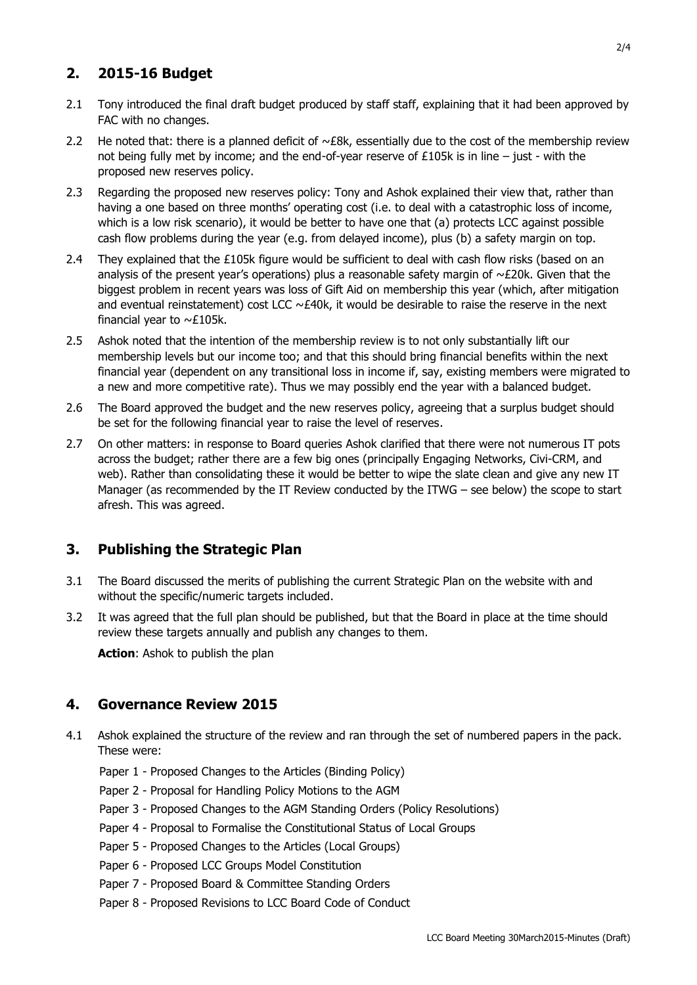# **2. 2015-16 Budget**

- 2.1 Tony introduced the final draft budget produced by staff staff, explaining that it had been approved by FAC with no changes.
- 2.2 He noted that: there is a planned deficit of  $\sim$  £8k, essentially due to the cost of the membership review not being fully met by income; and the end-of-year reserve of  $£105k$  is in line – just - with the proposed new reserves policy.
- 2.3 Regarding the proposed new reserves policy: Tony and Ashok explained their view that, rather than having a one based on three months' operating cost (i.e. to deal with a catastrophic loss of income, which is a low risk scenario), it would be better to have one that (a) protects LCC against possible cash flow problems during the year (e.g. from delayed income), plus (b) a safety margin on top.
- 2.4 They explained that the  $£105k$  figure would be sufficient to deal with cash flow risks (based on an analysis of the present year's operations) plus a reasonable safety margin of  $\sim$ £20k. Given that the biggest problem in recent years was loss of Gift Aid on membership this year (which, after mitigation and eventual reinstatement) cost LCC  $\sim$  £40k, it would be desirable to raise the reserve in the next financial year to  $\sim$ £105k.
- 2.5 Ashok noted that the intention of the membership review is to not only substantially lift our membership levels but our income too; and that this should bring financial benefits within the next financial year (dependent on any transitional loss in income if, say, existing members were migrated to a new and more competitive rate). Thus we may possibly end the year with a balanced budget.
- 2.6 The Board approved the budget and the new reserves policy, agreeing that a surplus budget should be set for the following financial year to raise the level of reserves.
- 2.7 On other matters: in response to Board queries Ashok clarified that there were not numerous IT pots across the budget; rather there are a few big ones (principally Engaging Networks, Civi-CRM, and web). Rather than consolidating these it would be better to wipe the slate clean and give any new IT Manager (as recommended by the IT Review conducted by the ITWG – see below) the scope to start afresh. This was agreed.

# **3. Publishing the Strategic Plan**

- 3.1 The Board discussed the merits of publishing the current Strategic Plan on the website with and without the specific/numeric targets included.
- 3.2 It was agreed that the full plan should be published, but that the Board in place at the time should review these targets annually and publish any changes to them.

**Action**: Ashok to publish the plan

# **4. Governance Review 2015**

- 4.1 Ashok explained the structure of the review and ran through the set of numbered papers in the pack. These were:
	- Paper 1 Proposed Changes to the Articles (Binding Policy)
	- Paper 2 Proposal for Handling Policy Motions to the AGM
	- Paper 3 Proposed Changes to the AGM Standing Orders (Policy Resolutions)
	- Paper 4 Proposal to Formalise the Constitutional Status of Local Groups
	- Paper 5 Proposed Changes to the Articles (Local Groups)
	- Paper 6 Proposed LCC Groups Model Constitution
	- Paper 7 Proposed Board & Committee Standing Orders
	- Paper 8 Proposed Revisions to LCC Board Code of Conduct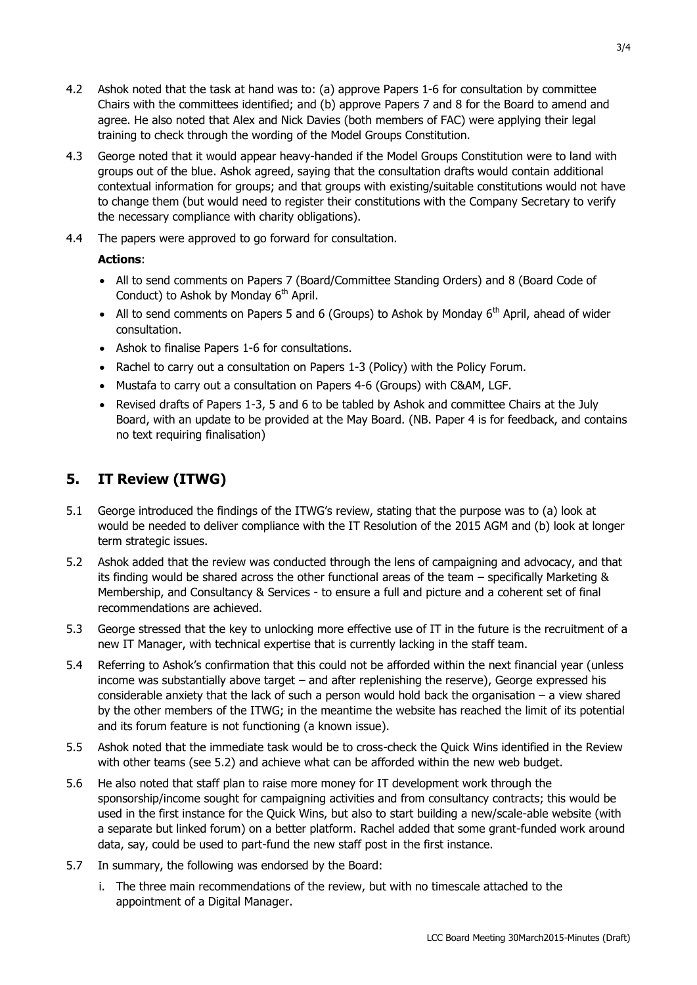- 4.2 Ashok noted that the task at hand was to: (a) approve Papers 1-6 for consultation by committee Chairs with the committees identified; and (b) approve Papers 7 and 8 for the Board to amend and agree. He also noted that Alex and Nick Davies (both members of FAC) were applying their legal training to check through the wording of the Model Groups Constitution.
- 4.3 George noted that it would appear heavy-handed if the Model Groups Constitution were to land with groups out of the blue. Ashok agreed, saying that the consultation drafts would contain additional contextual information for groups; and that groups with existing/suitable constitutions would not have to change them (but would need to register their constitutions with the Company Secretary to verify the necessary compliance with charity obligations).
- 4.4 The papers were approved to go forward for consultation.

#### **Actions**:

- All to send comments on Papers 7 (Board/Committee Standing Orders) and 8 (Board Code of Conduct) to Ashok by Monday  $6<sup>th</sup>$  April.
- All to send comments on Papers 5 and 6 (Groups) to Ashok by Monday  $6<sup>th</sup>$  April, ahead of wider consultation.
- Ashok to finalise Papers 1-6 for consultations.
- $\bullet$  Rachel to carry out a consultation on Papers 1-3 (Policy) with the Policy Forum.
- Mustafa to carry out a consultation on Papers 4-6 (Groups) with C&AM, LGF.
- Revised drafts of Papers 1-3, 5 and 6 to be tabled by Ashok and committee Chairs at the July Board, with an update to be provided at the May Board. (NB. Paper 4 is for feedback, and contains no text requiring finalisation)

### **5. IT Review (ITWG)**

- 5.1 George introduced the findings of the ITWG's review, stating that the purpose was to (a) look at would be needed to deliver compliance with the IT Resolution of the 2015 AGM and (b) look at longer term strategic issues.
- 5.2 Ashok added that the review was conducted through the lens of campaigning and advocacy, and that its finding would be shared across the other functional areas of the team – specifically Marketing & Membership, and Consultancy & Services - to ensure a full and picture and a coherent set of final recommendations are achieved.
- 5.3 George stressed that the key to unlocking more effective use of IT in the future is the recruitment of a new IT Manager, with technical expertise that is currently lacking in the staff team.
- 5.4 Referring to Ashok's confirmation that this could not be afforded within the next financial year (unless income was substantially above target – and after replenishing the reserve), George expressed his considerable anxiety that the lack of such a person would hold back the organisation – a view shared by the other members of the ITWG; in the meantime the website has reached the limit of its potential and its forum feature is not functioning (a known issue).
- 5.5 Ashok noted that the immediate task would be to cross-check the Quick Wins identified in the Review with other teams (see 5.2) and achieve what can be afforded within the new web budget.
- 5.6 He also noted that staff plan to raise more money for IT development work through the sponsorship/income sought for campaigning activities and from consultancy contracts; this would be used in the first instance for the Quick Wins, but also to start building a new/scale-able website (with a separate but linked forum) on a better platform. Rachel added that some grant-funded work around data, say, could be used to part-fund the new staff post in the first instance.
- 5.7 In summary, the following was endorsed by the Board:
	- i. The three main recommendations of the review, but with no timescale attached to the appointment of a Digital Manager.